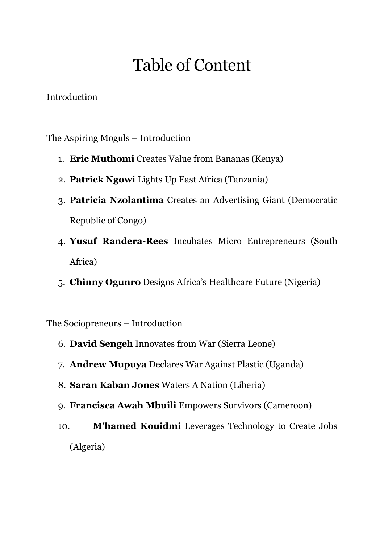## Table of Content

Introduction

The Aspiring Moguls – Introduction

- 1. **Eric Muthomi** Creates Value from Bananas (Kenya)
- 2. **Patrick Ngowi** Lights Up East Africa (Tanzania)
- 3. **Patricia Nzolantima** Creates an Advertising Giant (Democratic Republic of Congo)
- 4. **Yusuf Randera-Rees** Incubates Micro Entrepreneurs (South Africa)
- 5. **Chinny Ogunro** Designs Africa's Healthcare Future (Nigeria)

The Sociopreneurs – Introduction

- 6. **David Sengeh** Innovates from War (Sierra Leone)
- 7. **Andrew Mupuya** Declares War Against Plastic (Uganda)
- 8. **Saran Kaban Jones** Waters A Nation (Liberia)
- 9. **Francisca Awah Mbuili** Empowers Survivors (Cameroon)
- 10. **M'hamed Kouidmi** Leverages Technology to Create Jobs (Algeria)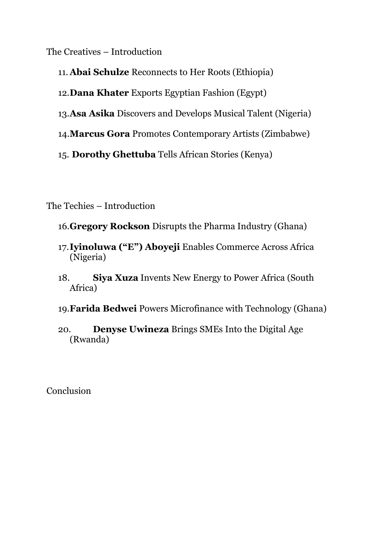The Creatives – Introduction

11. **Abai Schulze** Reconnects to Her Roots (Ethiopia)

12.**Dana Khater** Exports Egyptian Fashion (Egypt)

13.**Asa Asika** Discovers and Develops Musical Talent (Nigeria)

14.**Marcus Gora** Promotes Contemporary Artists (Zimbabwe)

15. **Dorothy Ghettuba** Tells African Stories (Kenya)

The Techies – Introduction

16.**Gregory Rockson** Disrupts the Pharma Industry (Ghana)

- 17.**Iyinoluwa ("E") Aboyeji** Enables Commerce Across Africa (Nigeria)
- 18. **Siya Xuza** Invents New Energy to Power Africa (South Africa)

19.**Farida Bedwei** Powers Microfinance with Technology (Ghana)

20. **Denyse Uwineza** Brings SMEs Into the Digital Age (Rwanda)

Conclusion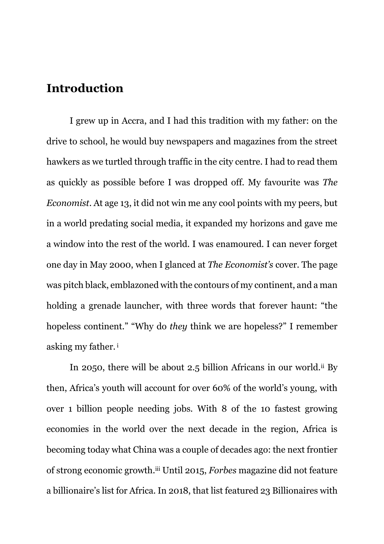## **Introduction**

I grew up in Accra, and I had this tradition with my father: on the drive to school, he would buy newspapers and magazines from the street hawkers as we turtled through traffic in the city centre. I had to read them as quickly as possible before I was dropped off. My favourite was *The Economist*. At age 13, it did not win me any cool points with my peers, but in a world predating social media, it expanded my horizons and gave me a window into the rest of the world. I was enamoured. I can never forget one day in May 2000, when I glanced at *The Economist's* cover. The page was pitch black, emblazoned with the contours of my continent, and a man holding a grenade launcher, with three words that forever haunt: "the hopeless continent." "Why do *they* think we are hopeless?" I remember asking my father. <sup>i</sup>

In 2050, there will be about 2.5 billion Africans in our world.<sup>ii</sup> By then, Africa's youth will account for over 60% of the world's young, with over 1 billion people needing jobs. With 8 of the 10 fastest growing economies in the world over the next decade in the region, Africa is becoming today what China was a couple of decades ago: the next frontier of strong economic growth.iii Until 2015, *Forbes* magazine did not feature a billionaire's list for Africa. In 2018, that list featured 23 Billionaires with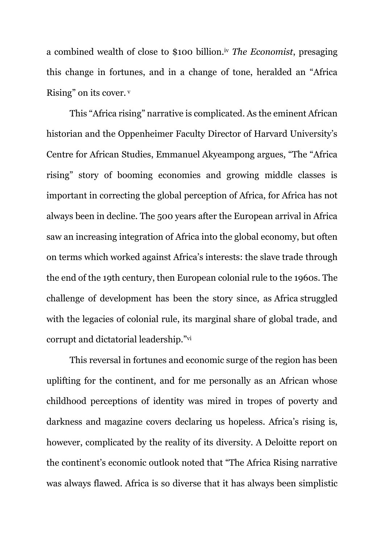a combined wealth of close to \$100 billion.iv *The Economist*, presaging this change in fortunes, and in a change of tone, heralded an "Africa Rising" on its cover. <sup>v</sup>

This "Africa rising" narrative is complicated. As the eminent African historian and the Oppenheimer Faculty Director of Harvard University's Centre for African Studies, Emmanuel Akyeampong argues, "The "Africa rising" story of booming economies and growing middle classes is important in correcting the global perception of Africa, for Africa has not always been in decline. The 500 years after the European arrival in Africa saw an increasing integration of Africa into the global economy, but often on terms which worked against Africa's interests: the slave trade through the end of the 19th century, then European colonial rule to the 1960s. The challenge of development has been the story since, as Africa struggled with the legacies of colonial rule, its marginal share of global trade, and corrupt and dictatorial leadership."vi

This reversal in fortunes and economic surge of the region has been uplifting for the continent, and for me personally as an African whose childhood perceptions of identity was mired in tropes of poverty and darkness and magazine covers declaring us hopeless. Africa's rising is, however, complicated by the reality of its diversity. A Deloitte report on the continent's economic outlook noted that "The Africa Rising narrative was always flawed. Africa is so diverse that it has always been simplistic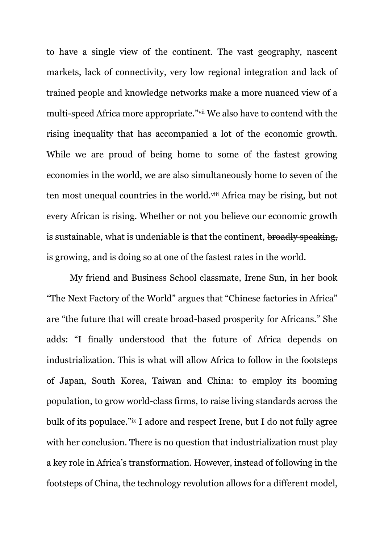to have a single view of the continent. The vast geography, nascent markets, lack of connectivity, very low regional integration and lack of trained people and knowledge networks make a more nuanced view of a multi-speed Africa more appropriate."vii We also have to contend with the rising inequality that has accompanied a lot of the economic growth. While we are proud of being home to some of the fastest growing economies in the world, we are also simultaneously home to seven of the ten most unequal countries in the world.viii Africa may be rising, but not every African is rising. Whether or not you believe our economic growth is sustainable, what is undeniable is that the continent, broadly speaking, is growing, and is doing so at one of the fastest rates in the world.

My friend and Business School classmate, Irene Sun, in her book "The Next Factory of the World" argues that "Chinese factories in Africa" are "the future that will create broad-based prosperity for Africans." She adds: "I finally understood that the future of Africa depends on industrialization. This is what will allow Africa to follow in the footsteps of Japan, South Korea, Taiwan and China: to employ its booming population, to grow world-class firms, to raise living standards across the bulk of its populace."ix I adore and respect Irene, but I do not fully agree with her conclusion. There is no question that industrialization must play a key role in Africa's transformation. However, instead of following in the footsteps of China, the technology revolution allows for a different model,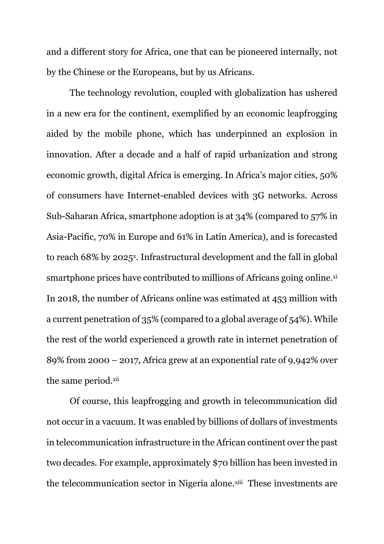and a different story for Africa, one that can be pioneered internally, not by the Chinese or the Europeans, but by us Africans.

The technology revolution, coupled with globalization has ushered in a new era for the continent, exemplified by an economic leapfrogging aided by the mobile phone, which has underpinned an explosion in innovation. After a decade and a half of rapid urbanization and strong economic growth, digital Africa is emerging. In Africa's major cities, 50% of consumers have Internet-enabled devices with 3G networks. Across Sub-Saharan Africa, smartphone adoption is at 34% (compared to 57% in Asia-Pacific, 70% in Europe and 61% in Latin America), and is forecasted to reach 68% by 2025<sup>x</sup>. Infrastructural development and the fall in global smartphone prices have contributed to millions of Africans going online.xi In 2018, the number of Africans online was estimated at 453 million with a current penetration of 35% (compared to a global average of 54%). While the rest of the world experienced a growth rate in internet penetration of 89% from 2000 – 2017, Africa grew at an exponential rate of 9,942% over the same period.xii

Of course, this leapfrogging and growth in telecommunication did not occur in a vacuum. It was enabled by billions of dollars of investments in telecommunication infrastructure in the African continent over the past two decades. For example, approximately \$70 billion has been invested in the telecommunication sector in Nigeria alone.xiii These investments are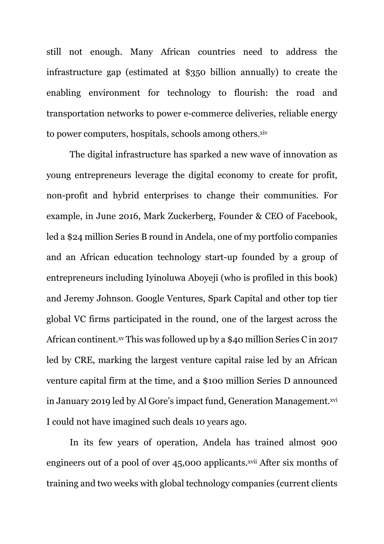still not enough. Many African countries need to address the infrastructure gap (estimated at \$350 billion annually) to create the enabling environment for technology to flourish: the road and transportation networks to power e-commerce deliveries, reliable energy to power computers, hospitals, schools among others.<sup>xiv</sup>

The digital infrastructure has sparked a new wave of innovation as young entrepreneurs leverage the digital economy to create for profit, non-profit and hybrid enterprises to change their communities. For example, in June 2016, Mark Zuckerberg, Founder & CEO of Facebook, led a \$24 million Series B round in Andela, one of my portfolio companies and an African education technology start-up founded by a group of entrepreneurs including Iyinoluwa Aboyeji (who is profiled in this book) and Jeremy Johnson. Google Ventures, Spark Capital and other top tier global VC firms participated in the round, one of the largest across the African continent.xv This was followed up by a \$40 million Series C in 2017 led by CRE, marking the largest venture capital raise led by an African venture capital firm at the time, and a \$100 million Series D announced in January 2019 led by Al Gore's impact fund, Generation Management.<sup>xvi</sup> I could not have imagined such deals 10 years ago.

In its few years of operation, Andela has trained almost 900 engineers out of a pool of over 45,000 applicants.<sup>xvii</sup> After six months of training and two weeks with global technology companies (current clients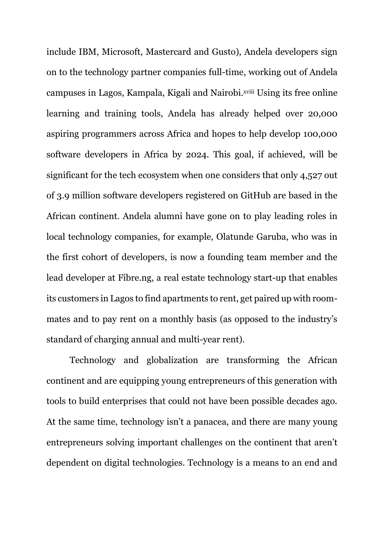include IBM, Microsoft, Mastercard and Gusto), Andela developers sign on to the technology partner companies full-time, working out of Andela campuses in Lagos, Kampala, Kigali and Nairobi.xviii Using its free online learning and training tools, Andela has already helped over 20,000 aspiring programmers across Africa and hopes to help develop 100,000 software developers in Africa by 2024. This goal, if achieved, will be significant for the tech ecosystem when one considers that only 4,527 out of 3.9 million software developers registered on GitHub are based in the African continent. Andela alumni have gone on to play leading roles in local technology companies, for example, Olatunde Garuba, who was in the first cohort of developers, is now a founding team member and the lead developer at Fibre.ng, a real estate technology start-up that enables its customers in Lagos to find apartments to rent, get paired up with roommates and to pay rent on a monthly basis (as opposed to the industry's standard of charging annual and multi-year rent).

Technology and globalization are transforming the African continent and are equipping young entrepreneurs of this generation with tools to build enterprises that could not have been possible decades ago. At the same time, technology isn't a panacea, and there are many young entrepreneurs solving important challenges on the continent that aren't dependent on digital technologies. Technology is a means to an end and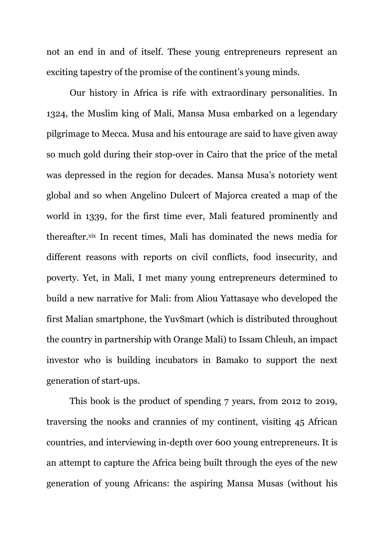not an end in and of itself. These young entrepreneurs represent an exciting tapestry of the promise of the continent's young minds.

Our history in Africa is rife with extraordinary personalities. In 1324, the Muslim king of Mali, Mansa Musa embarked on a legendary pilgrimage to Mecca. Musa and his entourage are said to have given away so much gold during their stop-over in Cairo that the price of the metal was depressed in the region for decades. Mansa Musa's notoriety went global and so when Angelino Dulcert of Majorca created a map of the world in 1339, for the first time ever, Mali featured prominently and thereafter.xix In recent times, Mali has dominated the news media for different reasons with reports on civil conflicts, food insecurity, and poverty. Yet, in Mali, I met many young entrepreneurs determined to build a new narrative for Mali: from Aliou Yattasaye who developed the first Malian smartphone, the YuvSmart (which is distributed throughout the country in partnership with Orange Mali) to Issam Chleuh, an impact investor who is building incubators in Bamako to support the next generation of start-ups.

This book is the product of spending 7 years, from 2012 to 2019, traversing the nooks and crannies of my continent, visiting 45 African countries, and interviewing in-depth over 600 young entrepreneurs. It is an attempt to capture the Africa being built through the eyes of the new generation of young Africans: the aspiring Mansa Musas (without his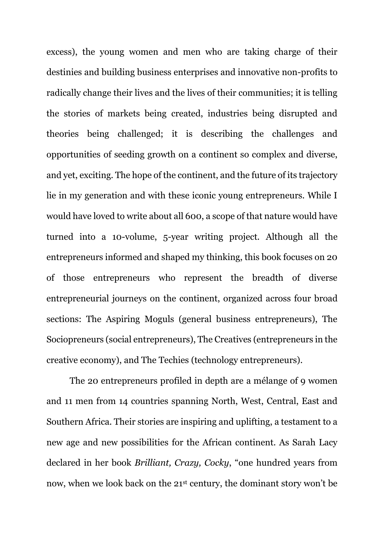excess), the young women and men who are taking charge of their destinies and building business enterprises and innovative non-profits to radically change their lives and the lives of their communities; it is telling the stories of markets being created, industries being disrupted and theories being challenged; it is describing the challenges and opportunities of seeding growth on a continent so complex and diverse, and yet, exciting. The hope of the continent, and the future of its trajectory lie in my generation and with these iconic young entrepreneurs. While I would have loved to write about all 600, a scope of that nature would have turned into a 10-volume, 5-year writing project. Although all the entrepreneurs informed and shaped my thinking, this book focuses on 20 of those entrepreneurs who represent the breadth of diverse entrepreneurial journeys on the continent, organized across four broad sections: The Aspiring Moguls (general business entrepreneurs), The Sociopreneurs (social entrepreneurs), The Creatives (entrepreneurs in the creative economy), and The Techies (technology entrepreneurs).

The 20 entrepreneurs profiled in depth are a mélange of 9 women and 11 men from 14 countries spanning North, West, Central, East and Southern Africa. Their stories are inspiring and uplifting, a testament to a new age and new possibilities for the African continent. As Sarah Lacy declared in her book *Brilliant, Crazy, Cocky*, "one hundred years from now, when we look back on the 21st century, the dominant story won't be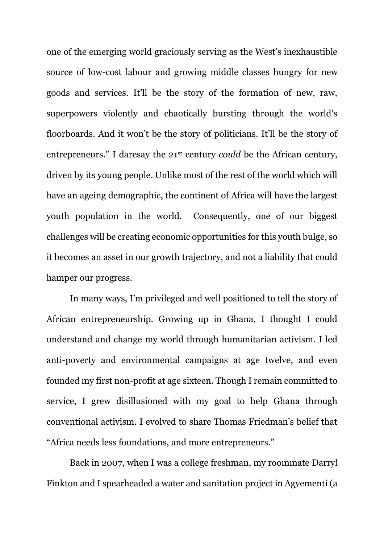one of the emerging world graciously serving as the West's inexhaustible source of low-cost labour and growing middle classes hungry for new goods and services. It'll be the story of the formation of new, raw, superpowers violently and chaotically bursting through the world's floorboards. And it won't be the story of politicians. It'll be the story of entrepreneurs." I daresay the 21st century *could* be the African century, driven by its young people. Unlike most of the rest of the world which will have an ageing demographic, the continent of Africa will have the largest youth population in the world. Consequently, one of our biggest challenges will be creating economic opportunities for this youth bulge, so it becomes an asset in our growth trajectory, and not a liability that could hamper our progress.

In many ways, I'm privileged and well positioned to tell the story of African entrepreneurship. Growing up in Ghana, I thought I could understand and change my world through humanitarian activism. I led anti-poverty and environmental campaigns at age twelve, and even founded my first non-profit at age sixteen. Though I remain committed to service, I grew disillusioned with my goal to help Ghana through conventional activism. I evolved to share Thomas Friedman's belief that "Africa needs less foundations, and more entrepreneurs."

Back in 2007, when I was a college freshman, my roommate Darryl Finkton and I spearheaded a water and sanitation project in Agyementi (a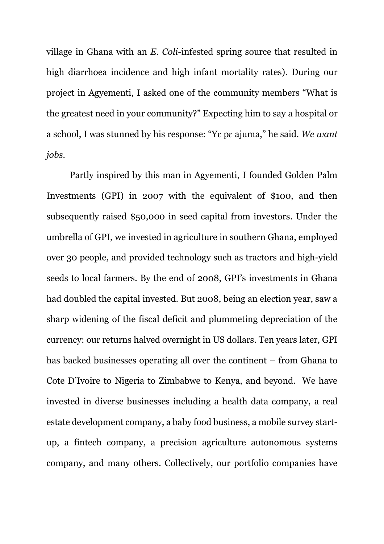village in Ghana with an *E. Coli*-infested spring source that resulted in high diarrhoea incidence and high infant mortality rates). During our project in Agyementi, I asked one of the community members "What is the greatest need in your community?" Expecting him to say a hospital or a school, I was stunned by his response: "Yɛ pɛ ajuma," he said. *We want jobs.*

Partly inspired by this man in Agyementi, I founded Golden Palm Investments (GPI) in 2007 with the equivalent of \$100, and then subsequently raised \$50,000 in seed capital from investors. Under the umbrella of GPI, we invested in agriculture in southern Ghana, employed over 30 people, and provided technology such as tractors and high-yield seeds to local farmers. By the end of 2008, GPI's investments in Ghana had doubled the capital invested. But 2008, being an election year, saw a sharp widening of the fiscal deficit and plummeting depreciation of the currency: our returns halved overnight in US dollars. Ten years later, GPI has backed businesses operating all over the continent – from Ghana to Cote D'Ivoire to Nigeria to Zimbabwe to Kenya, and beyond. We have invested in diverse businesses including a health data company, a real estate development company, a baby food business, a mobile survey startup, a fintech company, a precision agriculture autonomous systems company, and many others. Collectively, our portfolio companies have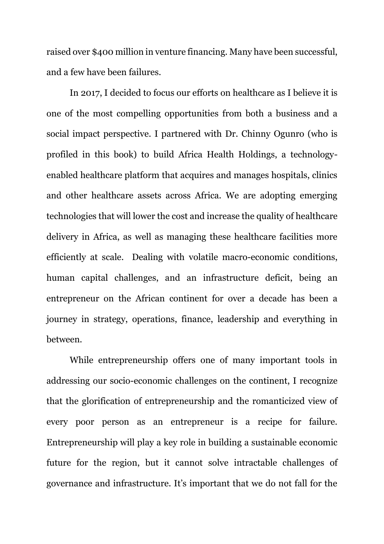raised over \$400 million in venture financing. Many have been successful, and a few have been failures.

In 2017, I decided to focus our efforts on healthcare as I believe it is one of the most compelling opportunities from both a business and a social impact perspective. I partnered with Dr. Chinny Ogunro (who is profiled in this book) to build Africa Health Holdings, a technologyenabled healthcare platform that acquires and manages hospitals, clinics and other healthcare assets across Africa. We are adopting emerging technologies that will lower the cost and increase the quality of healthcare delivery in Africa, as well as managing these healthcare facilities more efficiently at scale. Dealing with volatile macro-economic conditions, human capital challenges, and an infrastructure deficit, being an entrepreneur on the African continent for over a decade has been a journey in strategy, operations, finance, leadership and everything in between.

While entrepreneurship offers one of many important tools in addressing our socio-economic challenges on the continent, I recognize that the glorification of entrepreneurship and the romanticized view of every poor person as an entrepreneur is a recipe for failure. Entrepreneurship will play a key role in building a sustainable economic future for the region, but it cannot solve intractable challenges of governance and infrastructure. It's important that we do not fall for the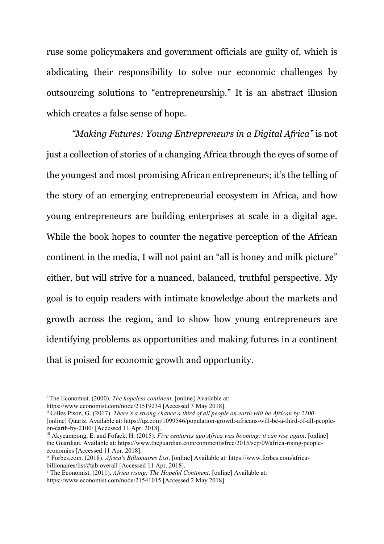ruse some policymakers and government officials are guilty of, which is abdicating their responsibility to solve our economic challenges by outsourcing solutions to "entrepreneurship." It is an abstract illusion which creates a false sense of hope.

*"Making Futures: Young Entrepreneurs in a Digital Africa"* is not just a collection of stories of a changing Africa through the eyes of some of the youngest and most promising African entrepreneurs; it's the telling of the story of an emerging entrepreneurial ecosystem in Africa, and how young entrepreneurs are building enterprises at scale in a digital age. While the book hopes to counter the negative perception of the African continent in the media, I will not paint an "all is honey and milk picture" either, but will strive for a nuanced, balanced, truthful perspective. My goal is to equip readers with intimate knowledge about the markets and growth across the region, and to show how young entrepreneurs are identifying problems as opportunities and making futures in a continent that is poised for economic growth and opportunity.

https://www.economist.com/node/21519234 [Accessed 3 May 2018].

 $\overline{a}$ 

ii Gilles Pison, G. (2017). *There's a strong chance a third of all people on earth will be African by 2100*. [online] Quartz. Available at: https://qz.com/1099546/population-growth-africans-will-be-a-third-of-all-peopleon-earth-by-2100/ [Accessed 11 Apr. 2018].

https://www.economist.com/node/21541015 [Accessed 2 May 2018].

<sup>i</sup> The Economist. (2000). *The hopeless continent*. [online] Available at:

iii Akyeampong, E. and Fofack, H. (2015). *Five centuries ago Africa was booming: it can rise again*. [online] the Guardian. Available at: https://www.theguardian.com/commentisfree/2015/sep/09/africa-rising-peopleeconomies [Accessed 11 Apr. 2018].

iv Forbes.com. (2018). *Africa's Billionaires List*. [online] Available at: https://www.forbes.com/africabillionaires/list/#tab:overall [Accessed 11 Apr. 2018].

<sup>v</sup> The Economist. (2011). *Africa rising; The Hopeful Continent*. [online] Available at: